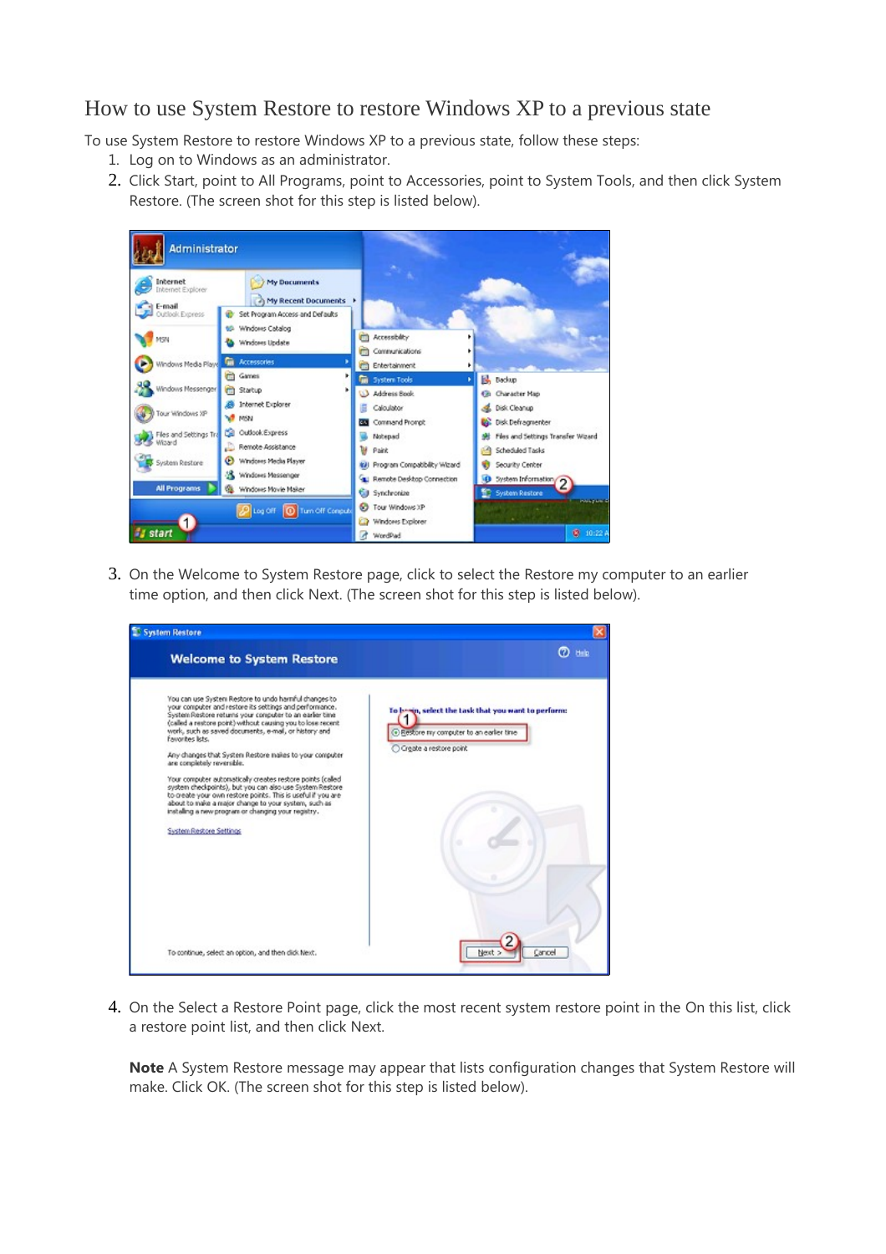## [How to use System Restore to restore Windows XP to a previous state](javascript:;)

To use System Restore to restore Windows XP to a previous state, follow these steps:

- 1. Log on to Windows as an administrator.
- 2. Click Start, point to All Programs, point to Accessories, point to System Tools, and then click System Restore. (The screen shot for this step is listed below).

| <b>Administrator</b>                           |                                                                         |                                                                        |                                                          |  |
|------------------------------------------------|-------------------------------------------------------------------------|------------------------------------------------------------------------|----------------------------------------------------------|--|
| Internet<br><b>Internet Explorer</b><br>E-mail | <b>My Documents</b><br><b>My Recent Documents</b>                       |                                                                        |                                                          |  |
| Outlook Express<br>MSN                         | Set Program Access and Defaults<br>69 Windows Catalog<br>Windows Update | Accessiblity<br>Communications                                         |                                                          |  |
| Windows Media Playe                            | Accessories<br>m.                                                       | <b>CD</b> Entertainment                                                |                                                          |  |
| Windows Messenger                              | (TI) Games<br>٠<br><b>m</b> Startup<br>٠                                | <b>Gui</b> System Tools<br>Address Book                                | <b>B</b> , backup<br>Co Character Map                    |  |
| Tour Windows XP                                | <b>B</b> Internet Explorer<br><b>WEN</b>                                | Calculator<br>Command Prompt                                           | <b>2.</b> Disk Cleanup<br>Disk Defragmenter              |  |
| Files and Settings Tra<br>Wizard               | Outlook Express<br>œ<br>Remote Assistance                               | Notepad<br>w<br>Paint                                                  | Files and Settings Transfer Wizard<br>Scheduled Tasks    |  |
| System Restore                                 | <sup>1</sup> Windows Media Player<br><b>SE Windows Messenger</b>        | 49 Program Compatibility Wizard<br><b>E:</b> Remote Desktop Connection | Security Center                                          |  |
| <b>All Programs</b>                            | W. Windows Movie Maker                                                  | <b>Cid</b> Synchronize                                                 | System Information<br><b>System Restore</b>              |  |
| <b>Is start</b>                                | Turn Off Conpute<br>Log Off                                             | Tour Windows XP<br>Windows Explorer<br>WordPad                         | <b>Industries &amp;</b><br><b>ANTISERIA</b><br>图 10:22 A |  |

3. On the Welcome to System Restore page, click to select the Restore my computer to an earlier time option, and then click Next. (The screen shot for this step is listed below).

| <b>System Restore</b><br><b>Welcome to System Restore</b>                                                                                                                                                                                                                                                                                                                                                                                                                                                                                                                                                                                                                                                                                                  | $2 + 1$                                                                                                                      |
|------------------------------------------------------------------------------------------------------------------------------------------------------------------------------------------------------------------------------------------------------------------------------------------------------------------------------------------------------------------------------------------------------------------------------------------------------------------------------------------------------------------------------------------------------------------------------------------------------------------------------------------------------------------------------------------------------------------------------------------------------------|------------------------------------------------------------------------------------------------------------------------------|
| You can use System Restore to undo harmful changes to<br>your computer and restore its settings and performance.<br>System Restore returns your computer to an earler time.<br>(called a restore point) without causing you to lose recent<br>work, such as saved documents, e-mail, or history and<br>Envorites lists.<br>Any changes that System Restore makes to your computer<br>are completely reversible.<br>Your computer automatically creates restore points (called<br>system checkpoints), but you can also use System Restore<br>to greate your own restore points. This is useful if you are<br>about to make a major change to your system, such as<br>installing a new program or changing your registry.<br><b>System Restore Settings</b> | To begin, select the task that you want to perform:<br>+) Restore my computer to an earlier time<br>○ Create a restore point |
| To continue, select an option, and then did: Next.                                                                                                                                                                                                                                                                                                                                                                                                                                                                                                                                                                                                                                                                                                         | Cancel<br>Next                                                                                                               |

4. On the Select a Restore Point page, click the most recent system restore point in the On this list, click a restore point list, and then click Next.

**Note** A System Restore message may appear that lists configuration changes that System Restore will make. Click OK. (The screen shot for this step is listed below).